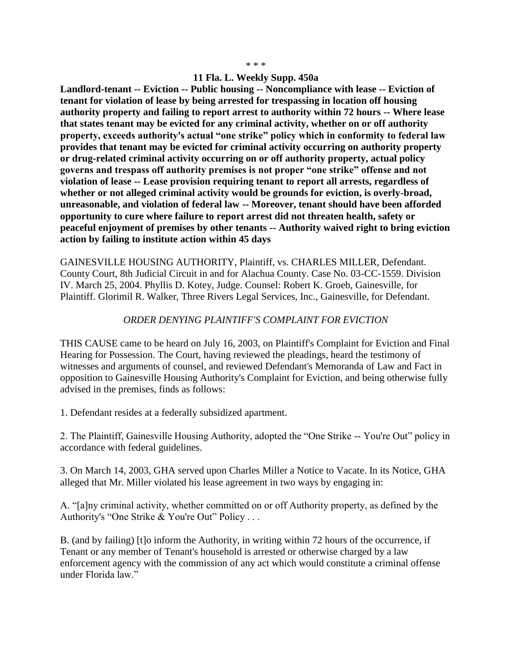## \* \* \*

## **11 Fla. L. Weekly Supp. 450a**

**Landlord-tenant -- Eviction -- Public housing -- Noncompliance with lease -- Eviction of tenant for violation of lease by being arrested for trespassing in location off housing authority property and failing to report arrest to authority within 72 hours -- Where lease that states tenant may be evicted for any criminal activity, whether on or off authority property, exceeds authority's actual "one strike" policy which in conformity to federal law provides that tenant may be evicted for criminal activity occurring on authority property or drug-related criminal activity occurring on or off authority property, actual policy governs and trespass off authority premises is not proper "one strike" offense and not violation of lease -- Lease provision requiring tenant to report all arrests, regardless of whether or not alleged criminal activity would be grounds for eviction, is overly-broad, unreasonable, and violation of federal law -- Moreover, tenant should have been afforded opportunity to cure where failure to report arrest did not threaten health, safety or peaceful enjoyment of premises by other tenants -- Authority waived right to bring eviction action by failing to institute action within 45 days**

GAINESVILLE HOUSING AUTHORITY, Plaintiff, vs. CHARLES MILLER, Defendant. County Court, 8th Judicial Circuit in and for Alachua County. Case No. 03-CC-1559. Division IV. March 25, 2004. Phyllis D. Kotey, Judge. Counsel: Robert K. Groeb, Gainesville, for Plaintiff. Glorimil R. Walker, Three Rivers Legal Services, Inc., Gainesville, for Defendant.

## *ORDER DENYING PLAINTIFF'S COMPLAINT FOR EVICTION*

THIS CAUSE came to be heard on July 16, 2003, on Plaintiff's Complaint for Eviction and Final Hearing for Possession. The Court, having reviewed the pleadings, heard the testimony of witnesses and arguments of counsel, and reviewed Defendant's Memoranda of Law and Fact in opposition to Gainesville Housing Authority's Complaint for Eviction, and being otherwise fully advised in the premises, finds as follows:

1. Defendant resides at a federally subsidized apartment.

2. The Plaintiff, Gainesville Housing Authority, adopted the "One Strike -- You're Out" policy in accordance with federal guidelines.

3. On March 14, 2003, GHA served upon Charles Miller a Notice to Vacate. In its Notice, GHA alleged that Mr. Miller violated his lease agreement in two ways by engaging in:

A. "[a]ny criminal activity, whether committed on or off Authority property, as defined by the Authority's "One Strike & You're Out" Policy . . .

B. (and by failing) [t]o inform the Authority, in writing within 72 hours of the occurrence, if Tenant or any member of Tenant's household is arrested or otherwise charged by a law enforcement agency with the commission of any act which would constitute a criminal offense under Florida law."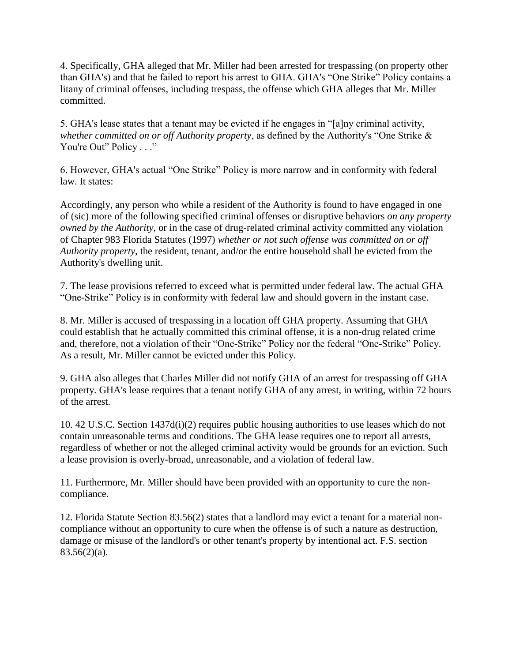4. Specifically, GHA alleged that Mr. Miller had been arrested for trespassing (on property other than GHA's) and that he failed to report his arrest to GHA. GHA's "One Strike" Policy contains a litany of criminal offenses, including trespass, the offense which GHA alleges that Mr. Miller committed.

5. GHA's lease states that a tenant may be evicted if he engages in "[a]ny criminal activity, *whether committed on or off Authority property*, as defined by the Authority's "One Strike & You're Out" Policy . . ."

6. However, GHA's actual "One Strike" Policy is more narrow and in conformity with federal law. It states:

Accordingly, any person who while a resident of the Authority is found to have engaged in one of (sic) more of the following specified criminal offenses or disruptive behaviors *on any property owned by the Authority*, or in the case of drug-related criminal activity committed any violation of Chapter 983 Florida Statutes (1997) *whether or not such offense was committed on or off Authority property*, the resident, tenant, and/or the entire household shall be evicted from the Authority's dwelling unit.

7. The lease provisions referred to exceed what is permitted under federal law. The actual GHA "One-Strike" Policy is in conformity with federal law and should govern in the instant case.

8. Mr. Miller is accused of trespassing in a location off GHA property. Assuming that GHA could establish that he actually committed this criminal offense, it is a non-drug related crime and, therefore, not a violation of their "One-Strike" Policy nor the federal "One-Strike" Policy. As a result, Mr. Miller cannot be evicted under this Policy.

9. GHA also alleges that Charles Miller did not notify GHA of an arrest for trespassing off GHA property. GHA's lease requires that a tenant notify GHA of any arrest, in writing, within 72 hours of the arrest.

10. 42 U.S.C. Section 1437d(i)(2) requires public housing authorities to use leases which do not contain unreasonable terms and conditions. The GHA lease requires one to report all arrests, regardless of whether or not the alleged criminal activity would be grounds for an eviction. Such a lease provision is overly-broad, unreasonable, and a violation of federal law.

11. Furthermore, Mr. Miller should have been provided with an opportunity to cure the noncompliance.

12. Florida Statute Section 83.56(2) states that a landlord may evict a tenant for a material noncompliance without an opportunity to cure when the offense is of such a nature as destruction, damage or misuse of the landlord's or other tenant's property by intentional act. F.S. section  $83.56(2)(a)$ .